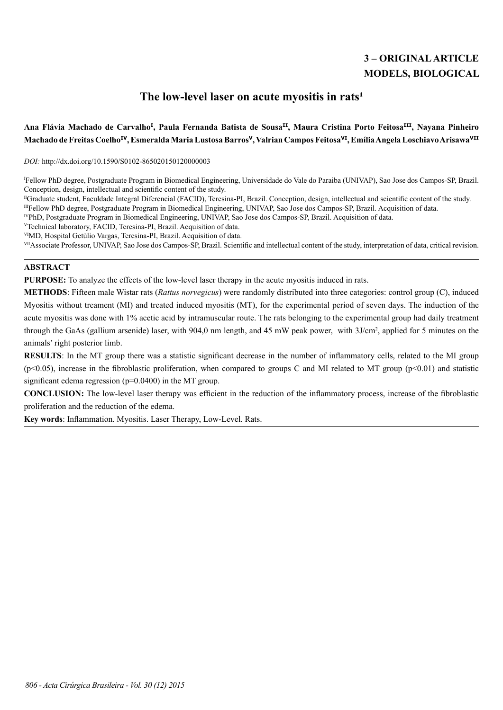# **3 – ORIGINAL ARTICLE MODELS, BIOLOGICAL**

## The low-level laser on acute myositis in rats<sup>1</sup>

## **Ana Flávia Machado de Carvalho<sup>I</sup> , Paula Fernanda Batista de SousaII, Maura Cristina Porto FeitosaIII, Nayana Pinheiro Machado de Freitas CoelhoIV, Esmeralda Maria Lustosa Barros<sup>V</sup>, Valrian Campos FeitosaVI, Emília Angela Loschiavo ArisawaVII**

*DOI:* http://dx.doi.org/10.1590/S0102-865020150120000003

I Fellow PhD degree, Postgraduate Program in Biomedical Engineering, Universidade do Vale do Paraiba (UNIVAP), Sao Jose dos Campos-SP, Brazil. Conception, design, intellectual and scientific content of the study.

IIIFellow PhD degree, Postgraduate Program in Biomedical Engineering, UNIVAP, Sao Jose dos Campos-SP, Brazil. Acquisition of data.

IVPhD, Postgraduate Program in Biomedical Engineering, UNIVAP, Sao Jose dos Campos-SP, Brazil. Acquisition of data.

<sup>V</sup>Technical laboratory, FACID, Teresina-PI, Brazil. Acquisition of data.

VIMD, Hospital Getúlio Vargas, Teresina-PI, Brazil. Acquisition of data.

VII Associate Professor, UNIVAP, Sao Jose dos Campos-SP, Brazil. Scientific and intellectual content of the study, interpretation of data, critical revision.

## **ABSTRACT**

**PURPOSE:** To analyze the effects of the low-level laser therapy in the acute myositis induced in rats.

**METHODS**: Fifteen male Wistar rats (*Rattus norvegicus*) were randomly distributed into three categories: control group (C), induced Myositis without treament (MI) and treated induced myositis (MT), for the experimental period of seven days. The induction of the acute myositis was done with 1% acetic acid by intramuscular route. The rats belonging to the experimental group had daily treatment through the GaAs (gallium arsenide) laser, with 904,0 nm length, and 45 mW peak power, with  $3J/cm^2$ , applied for 5 minutes on the animals' right posterior limb.

**RESULTS**: In the MT group there was a statistic significant decrease in the number of inflammatory cells, related to the MI group  $(p<0.05)$ , increase in the fibroblastic proliferation, when compared to groups C and MI related to MT group  $(p<0.01)$  and statistic significant edema regression (p=0.0400) in the MT group.

**CONCLUSION:** The low-level laser therapy was efficient in the reduction of the inflammatory process, increase of the fibroblastic proliferation and the reduction of the edema.

**Key words**: Inflammation. Myositis. Laser Therapy, Low-Level. Rats.

IIGraduate student, Faculdade Integral Diferencial (FACID), Teresina-PI, Brazil. Conception, design, intellectual and scientific content of the study.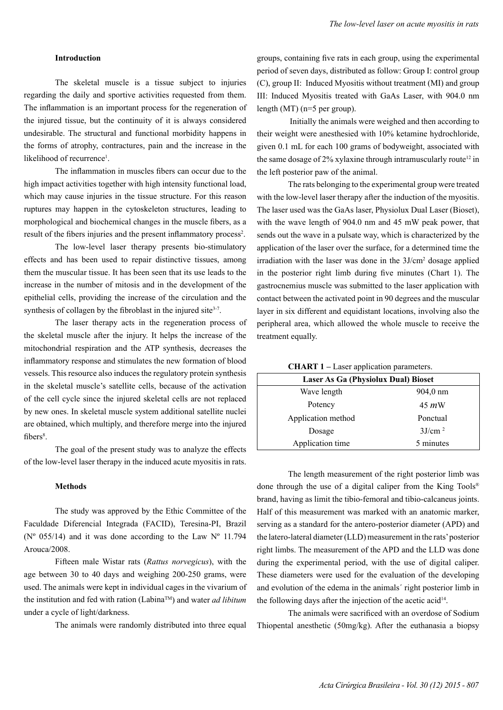### **Introduction**

The skeletal muscle is a tissue subject to injuries regarding the daily and sportive activities requested from them. The inflammation is an important process for the regeneration of the injured tissue, but the continuity of it is always considered undesirable. The structural and functional morbidity happens in the forms of atrophy, contractures, pain and the increase in the likelihood of recurrence<sup>1</sup>.

The inflammation in muscles fibers can occur due to the high impact activities together with high intensity functional load, which may cause injuries in the tissue structure. For this reason ruptures may happen in the cytoskeleton structures, leading to morphological and biochemical changes in the muscle fibers, as a result of the fibers injuries and the present inflammatory process<sup>2</sup>.

The low-level laser therapy presents bio-stimulatory effects and has been used to repair distinctive tissues, among them the muscular tissue. It has been seen that its use leads to the increase in the number of mitosis and in the development of the epithelial cells, providing the increase of the circulation and the synthesis of collagen by the fibroblast in the injured site<sup>3-7</sup>.

The laser therapy acts in the regeneration process of the skeletal muscle after the injury. It helps the increase of the mitochondrial respiration and the ATP synthesis, decreases the inflammatory response and stimulates the new formation of blood vessels. This resource also induces the regulatory protein synthesis in the skeletal muscle's satellite cells, because of the activation of the cell cycle since the injured skeletal cells are not replaced by new ones. In skeletal muscle system additional satellite nuclei are obtained, which multiply, and therefore merge into the injured fibers<sup>8</sup>.

The goal of the present study was to analyze the effects of the low-level laser therapy in the induced acute myositis in rats.

#### **Methods**

The study was approved by the Ethic Committee of the Faculdade Diferencial Integrada (FACID), Teresina-PI, Brazil ( $N^{\circ}$  055/14) and it was done according to the Law  $N^{\circ}$  11.794 Arouca/2008.

Fifteen male Wistar rats (*Rattus norvegicus*), with the age between 30 to 40 days and weighing 200-250 grams, were used. The animals were kept in individual cages in the vivarium of the institution and fed with ration (LabinaTM) and water *ad libitum* under a cycle of light/darkness.

The animals were randomly distributed into three equal

groups, containing five rats in each group, using the experimental period of seven days, distributed as follow: Group I: control group (C), group II: Induced Myositis without treatment (MI) and group III: Induced Myositis treated with GaAs Laser, with 904.0 nm length (MT) (n=5 per group).

 Initially the animals were weighed and then according to their weight were anesthesied with 10% ketamine hydrochloride, given 0.1 mL for each 100 grams of bodyweight, associated with the same dosage of  $2\%$  xylaxine through intramuscularly route<sup>12</sup> in the left posterior paw of the animal.

The rats belonging to the experimental group were treated with the low-level laser therapy after the induction of the myositis. The laser used was the GaAs laser, Physiolux Dual Laser (Bioset), with the wave length of 904.0 nm and 45 mW peak power, that sends out the wave in a pulsate way, which is characterized by the application of the laser over the surface, for a determined time the irradiation with the laser was done in the 3J/cm2 dosage applied in the posterior right limb during five minutes (Chart 1). The gastrocnemius muscle was submitted to the laser application with contact between the activated point in 90 degrees and the muscular layer in six different and equidistant locations, involving also the peripheral area, which allowed the whole muscle to receive the treatment equally.

| <b>CHART 1 – Laser application parameters.</b> |  |  |  |
|------------------------------------------------|--|--|--|
|------------------------------------------------|--|--|--|

| Laser As Ga (Physiolux Dual) Bioset |                    |  |  |
|-------------------------------------|--------------------|--|--|
| Wave length                         | 904,0 nm           |  |  |
| Potency                             | 45 <i>m</i> W      |  |  |
| Application method                  | Ponctual           |  |  |
| Dosage                              | 3J/cm <sup>2</sup> |  |  |
| Application time                    | 5 minutes          |  |  |

The length measurement of the right posterior limb was done through the use of a digital caliper from the King Tools® brand, having as limit the tibio-femoral and tibio-calcaneus joints. Half of this measurement was marked with an anatomic marker, serving as a standard for the antero-posterior diameter (APD) and the latero-lateral diameter (LLD) measurement in the rats' posterior right limbs. The measurement of the APD and the LLD was done during the experimental period, with the use of digital caliper. These diameters were used for the evaluation of the developing and evolution of the edema in the animals´ right posterior limb in the following days after the injection of the acetic acid<sup>14</sup>.

The animals were sacrificed with an overdose of Sodium Thiopental anesthetic (50mg/kg). After the euthanasia a biopsy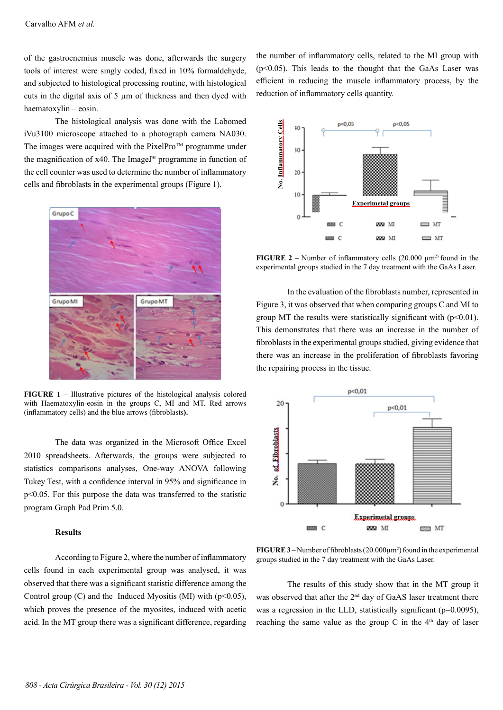of the gastrocnemius muscle was done, afterwards the surgery tools of interest were singly coded, fixed in 10% formaldehyde, and subjected to histological processing routine, with histological cuts in the digital axis of 5 µm of thickness and then dyed with haematoxylin – eosin.

The histological analysis was done with the Labomed iVu3100 microscope attached to a photograph camera NA030. The images were acquired with the  $PixelPro^{TM}$  programme under the magnification of x40. The ImageJ® programme in function of the cell counter was used to determine the number of inflammatory cells and fibroblasts in the experimental groups (Figure 1).



**FIGURE 1** – Illustrative pictures of the histological analysis colored with Haematoxylin-eosin in the groups C, MI and MT. Red arrows (inflammatory cells) and the blue arrows (fibroblasts**).**

The data was organized in the Microsoft Office Excel 2010 spreadsheets. Afterwards, the groups were subjected to statistics comparisons analyses, One-way ANOVA following Tukey Test, with a confidence interval in 95% and significance in p<0.05. For this purpose the data was transferred to the statistic program Graph Pad Prim 5.0.

## **Results**

According to Figure 2, where the number of inflammatory cells found in each experimental group was analysed, it was observed that there was a significant statistic difference among the Control group (C) and the Induced Myositis (MI) with  $(p<0.05)$ , which proves the presence of the myosites, induced with acetic acid. In the MT group there was a significant difference, regarding

the number of inflammatory cells, related to the MI group with  $(p<0.05)$ . This leads to the thought that the GaAs Laser was efficient in reducing the muscle inflammatory process, by the reduction of inflammatory cells quantity.



**FIGURE 2** – Number of inflammatory cells  $(20.000 \mu m^2)$  found in the experimental groups studied in the 7 day treatment with the GaAs Laser.

In the evaluation of the fibroblasts number, represented in Figure 3, it was observed that when comparing groups C and MI to group MT the results were statistically significant with  $(p<0.01)$ . This demonstrates that there was an increase in the number of fibroblasts in the experimental groups studied, giving evidence that there was an increase in the proliferation of fibroblasts favoring the repairing process in the tissue.



**FIGURE 3** – Number of fibroblasts  $(20.000 \mu m^2)$  found in the experimental groups studied in the 7 day treatment with the GaAs Laser.

The results of this study show that in the MT group it was observed that after the 2<sup>nd</sup> day of GaAS laser treatment there was a regression in the LLD, statistically significant (p=0.0095), reaching the same value as the group C in the  $4<sup>th</sup>$  day of laser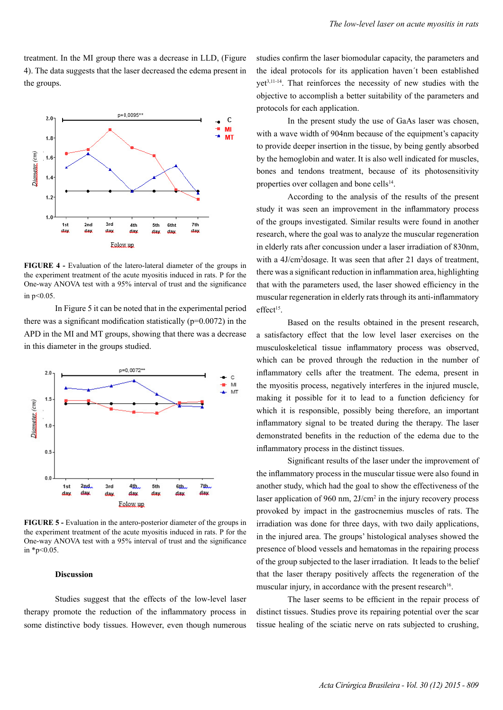treatment. In the MI group there was a decrease in LLD, (Figure 4). The data suggests that the laser decreased the edema present in the groups.



**FIGURE 4 -** Evaluation of the latero-lateral diameter of the groups in the experiment treatment of the acute myositis induced in rats. P for the One-way ANOVA test with a 95% interval of trust and the significance in p<0.05.

In Figure 5 it can be noted that in the experimental period there was a significant modification statistically  $(p=0.0072)$  in the APD in the MI and MT groups, showing that there was a decrease in this diameter in the groups studied.



**FIGURE 5 -** Evaluation in the antero-posterior diameter of the groups in the experiment treatment of the acute myositis induced in rats. P for the One-way ANOVA test with a 95% interval of trust and the significance in \*p<0.05.

#### **Discussion**

Studies suggest that the effects of the low-level laser therapy promote the reduction of the inflammatory process in some distinctive body tissues. However, even though numerous

studies confirm the laser biomodular capacity, the parameters and the ideal protocols for its application haven´t been established yet3,11-14. That reinforces the necessity of new studies with the objective to accomplish a better suitability of the parameters and protocols for each application.

In the present study the use of GaAs laser was chosen, with a wave width of 904nm because of the equipment's capacity to provide deeper insertion in the tissue, by being gently absorbed by the hemoglobin and water. It is also well indicated for muscles, bones and tendons treatment, because of its photosensitivity properties over collagen and bone cells<sup>14</sup>.

According to the analysis of the results of the present study it was seen an improvement in the inflammatory process of the groups investigated. Similar results were found in another research, where the goal was to analyze the muscular regeneration in elderly rats after concussion under a laser irradiation of 830nm, with a 4J/cm<sup>2</sup>dosage. It was seen that after 21 days of treatment, there was a significant reduction in inflammation area, highlighting that with the parameters used, the laser showed efficiency in the muscular regeneration in elderly rats through its anti-inflammatory effect<sup>15</sup>.

Based on the results obtained in the present research, a satisfactory effect that the low level laser exercises on the musculoskeletical tissue inflammatory process was observed, which can be proved through the reduction in the number of inflammatory cells after the treatment. The edema, present in the myositis process, negatively interferes in the injured muscle, making it possible for it to lead to a function deficiency for which it is responsible, possibly being therefore, an important inflammatory signal to be treated during the therapy. The laser demonstrated benefits in the reduction of the edema due to the inflammatory process in the distinct tissues.

Significant results of the laser under the improvement of the inflammatory process in the muscular tissue were also found in another study, which had the goal to show the effectiveness of the laser application of 960 nm, 2J/cm<sup>2</sup> in the injury recovery process provoked by impact in the gastrocnemius muscles of rats. The irradiation was done for three days, with two daily applications, in the injured area. The groups' histological analyses showed the presence of blood vessels and hematomas in the repairing process of the group subjected to the laser irradiation. It leads to the belief that the laser therapy positively affects the regeneration of the muscular injury, in accordance with the present research<sup>16</sup>.

The laser seems to be efficient in the repair process of distinct tissues. Studies prove its repairing potential over the scar tissue healing of the sciatic nerve on rats subjected to crushing,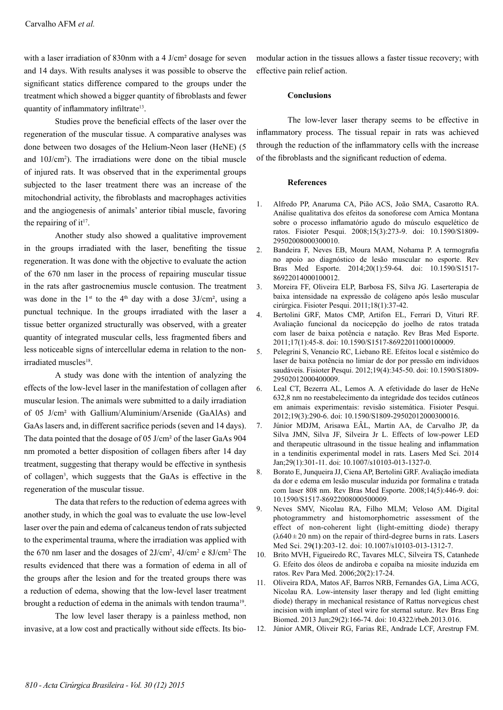with a laser irradiation of 830nm with a 4 J/cm<sup>2</sup> dosage for seven and 14 days. With results analyses it was possible to observe the significant statics difference compared to the groups under the treatment which showed a bigger quantity of fibroblasts and fewer quantity of inflammatory infiltrate<sup>13</sup>.

Studies prove the beneficial effects of the laser over the regeneration of the muscular tissue. A comparative analyses was done between two dosages of the Helium-Neon laser (HeNE) (5 and 10J/cm2 ). The irradiations were done on the tibial muscle of injured rats. It was observed that in the experimental groups subjected to the laser treatment there was an increase of the mitochondrial activity, the fibroblasts and macrophages activities and the angiogenesis of animals' anterior tibial muscle, favoring the repairing of it $17$ .

Another study also showed a qualitative improvement in the groups irradiated with the laser, benefiting the tissue regeneration. It was done with the objective to evaluate the action of the 670 nm laser in the process of repairing muscular tissue in the rats after gastrocnemius muscle contusion. The treatment was done in the  $1^{st}$  to the  $4^{th}$  day with a dose  $3J/cm^2$ , using a punctual technique. In the groups irradiated with the laser a tissue better organized structurally was observed, with a greater quantity of integrated muscular cells, less fragmented fibers and less noticeable signs of intercellular edema in relation to the nonirradiated muscles<sup>18</sup>.

A study was done with the intention of analyzing the effects of the low-level laser in the manifestation of collagen after muscular lesion. The animals were submitted to a daily irradiation of 05 J/cm² with Gallium/Aluminium/Arsenide (GaAlAs) and GaAs lasers and, in different sacrifice periods (seven and 14 days). The data pointed that the dosage of 05 J/cm² of the laser GaAs 904 nm promoted a better disposition of collagen fibers after 14 day treatment, suggesting that therapy would be effective in synthesis of collagen<sup>3</sup>, which suggests that the GaAs is effective in the regeneration of the muscular tissue.

The data that refers to the reduction of edema agrees with another study, in which the goal was to evaluate the use low-level laser over the pain and edema of calcaneus tendon of rats subjected to the experimental trauma, where the irradiation was applied with the 670 nm laser and the dosages of  $2J/cm^2$ ,  $4J/cm^2$  e  $8J/cm^2$ . The results evidenced that there was a formation of edema in all of the groups after the lesion and for the treated groups there was a reduction of edema, showing that the low-level laser treatment brought a reduction of edema in the animals with tendon trauma<sup>19</sup>.

The low level laser therapy is a painless method, non invasive, at a low cost and practically without side effects. Its biomodular action in the tissues allows a faster tissue recovery; with effective pain relief action.

#### **Conclusions**

The low-lever laser therapy seems to be effective in inflammatory process. The tissual repair in rats was achieved through the reduction of the inflammatory cells with the increase of the fibroblasts and the significant reduction of edema.

### **References**

- 1. Alfredo PP, Anaruma CA, Pião ACS, João SMA, Casarotto RA. Análise qualitativa dos efeitos da sonoforese com Arnica Montana sobre o processo inflamatório agudo do músculo esquelético de ratos. Fisioter Pesqui. 2008;15(3):273-9. doi: 10.1590/S1809- 29502008000300010.
- 2. Bandeira F, Neves EB, Moura MAM, Nohama P. A termografia no apoio ao diagnóstico de lesão muscular no esporte. Rev Bras Med Esporte. 2014;20(1):59-64. doi: 10.1590/S1517- 86922014000100012.
- 3. Moreira FF, Oliveira ELP, Barbosa FS, Silva JG. Laserterapia de baixa intensidade na expressão de colágeno após lesão muscular cirúrgica. Fisioter Pesqui. 2011;18(1):37-42.
- 4. Bertolini GRF, Matos CMP, Artifon EL, Ferrari D, Vituri RF. Avaliação funcional da nocicepção do joelho de ratos tratada com laser de baixa potência e natação. Rev Bras Med Esporte. 2011;17(1):45-8. doi: 10.1590/S1517-86922011000100009.
- 5. Pelegrini S, Venancio RC, Liebano RE. Efeitos local e sistêmico do laser de baixa potência no limiar de dor por pressão em indivíduos saudáveis. Fisioter Pesqui. 2012;19(4):345-50. doi: 10.1590/S1809- 29502012000400009.
- 6. Leal CT, Bezerra AL, Lemos A. A efetividade do laser de HeNe 632,8 nm no reestabelecimento da integridade dos tecidos cutâneos em animais experimentais: revisão sistemática. Fisioter Pesqui. 2012;19(3):290-6. doi: 10.1590/S1809-29502012000300016.
- 7. Júnior MDJM, Arisawa EÂL, Martin AA, de Carvalho JP, da Silva JMN, Silva JF, Silveira Jr L. Effects of low-power LED and therapeutic ultrasound in the tissue healing and inflammation in a tendinitis experimental model in rats. Lasers Med Sci. 2014 Jan;29(1):301-11. doi: 10.1007/s10103-013-1327-0.
- 8. Borato E, Junqueira JJ, Ciena AP, Bertolini GRF. Avaliação imediata da dor e edema em lesão muscular induzida por formalina e tratada com laser 808 nm. Rev Bras Med Esporte. 2008;14(5):446-9. doi: 10.1590/S1517-86922008000500009.
- 9. Neves SMV, Nicolau RA, Filho MLM; Veloso AM. Digital photogrammetry and histomorphometric assessment of the effect of non-coherent light (light-emitting diode) therapy  $(\lambda 640 \pm 20 \text{ nm})$  on the repair of third-degree burns in rats. Lasers Med Sci. 29**(**1**)**:203-12. doi: 10.1007/s10103-013-1312-7.
- 10. Brito MVH, Figueiredo RC, Tavares MLC, Silveira TS, Catanhede G. Efeito dos óleos de andiroba e copaíba na miosite induzida em ratos. Rev Para Med. 2006;20(2):17-24.
- 11. Oliveira RDA, Matos AF, Barros NRB, Fernandes GA, Lima ACG, Nicolau RA. Low-intensity laser therapy and led (light emitting diode) therapy in mechanical resistance of Rattus norvegicus chest incision with implant of steel wire for sternal suture. Rev Bras Eng Biomed. 2013 Jun;29(2):166-74. doi: 10.4322/rbeb.2013.016.
- 12. Júnior AMR, Oliveir RG, Farias RE, Andrade LCF, Arestrup FM.